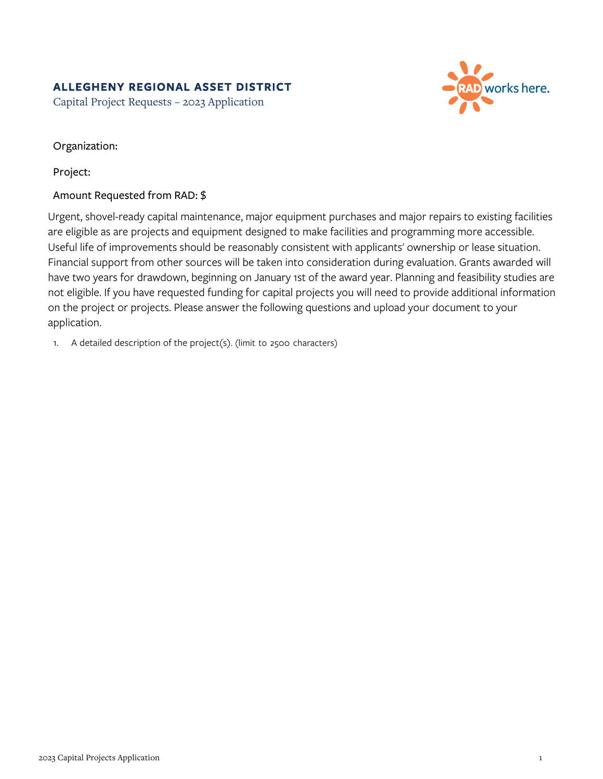## **ALLEGHENY REGIONAL ASSET DISTRICT**

Capital Project Requests – 2023 Application



Organization:

Project:

## Amount Requested from RAD: \$

Urgent, shovel-ready capital maintenance, major equipment purchases and major repairs to existing facilities are eligible as are projects and equipment designed to make facilities and programming more accessible. Useful life of improvements should be reasonably consistent with applicants' ownership or lease situation. Financial support from other sources will be taken into consideration during evaluation. Grants awarded will have two years for drawdown, beginning on January 1st of the award year. Planning and feasibility studies are not eligible. If you have requested funding for capital projects you will need to provide additional information on the project or projects. Please answer the following questions and upload your document to your application.

1. A detailed description of the project(s). (limit to 2500 characters)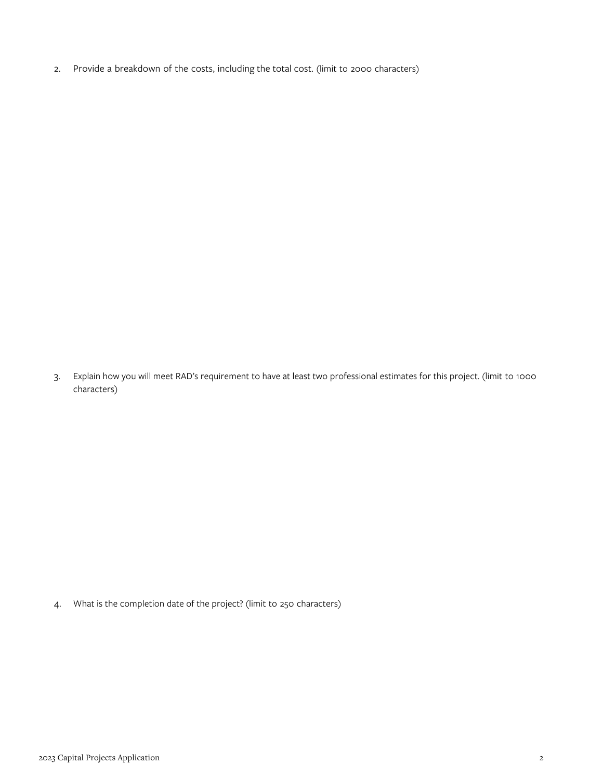2. Provide a breakdown of the costs, including the total cost. (limit to 2000 characters)

3. Explain how you will meet RAD's requirement to have at least two professional estimates for this project. (limit to 1000 characters)

4. What is the completion date of the project? (limit to 250 characters)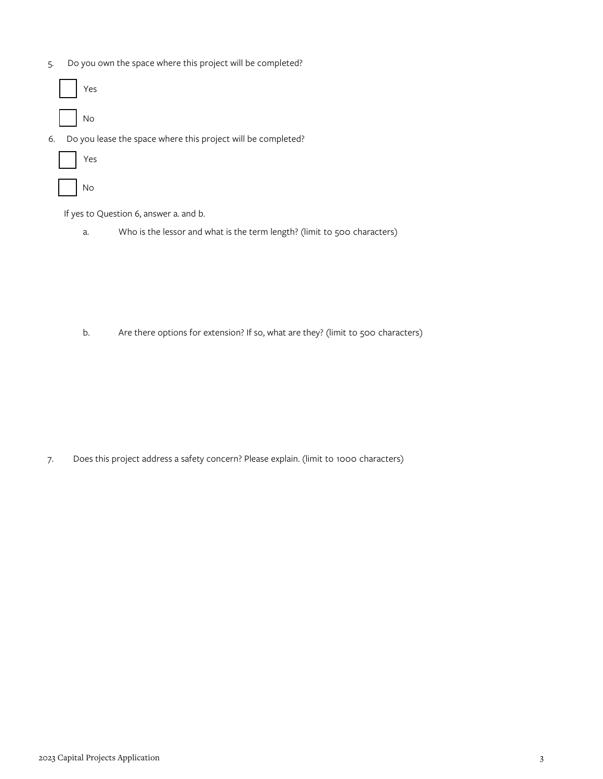- 5. Do you own the space where this project will be completed?
	- Yes No
- 6. Do you lease the space where this project will be completed?
	- Yes No

If yes to Question 6, answer a. and b.

a. Who is the lessor and what is the term length? (limit to 500 characters)

b. Are there options for extension? If so, what are they? (limit to 500 characters)

7. Does this project address a safety concern? Please explain. (limit to 1000 characters)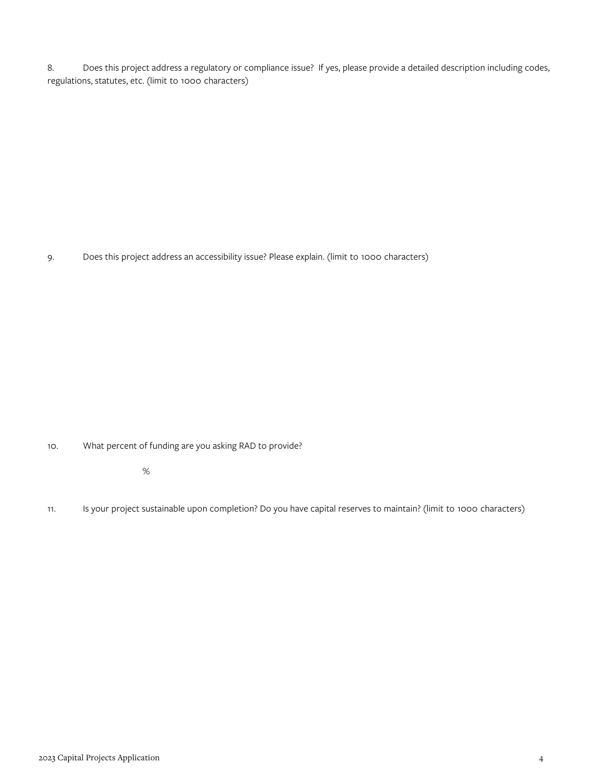8. Does this project address a regulatory or compliance issue? If yes, please provide a detailed description including codes, regulations, statutes, etc. (limit to 1000 characters)

9. Does this project address an accessibility issue? Please explain. (limit to 1000 characters)

10. What percent of funding are you asking RAD to provide?

%

11. Is your project sustainable upon completion? Do you have capital reserves to maintain? (limit to 1000 characters)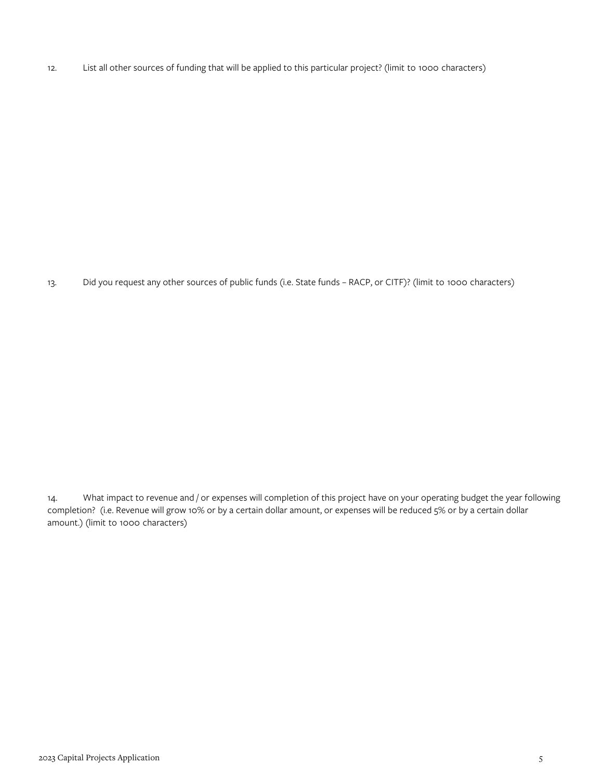12. List all other sources of funding that will be applied to this particular project? (limit to 1000 characters)

13. Did you request any other sources of public funds (i.e. State funds – RACP, or CITF)? (limit to 1000 characters)

14. What impact to revenue and / or expenses will completion of this project have on your operating budget the year following completion? (i.e. Revenue will grow 10% or by a certain dollar amount, or expenses will be reduced 5% or by a certain dollar amount.) (limit to 1000 characters)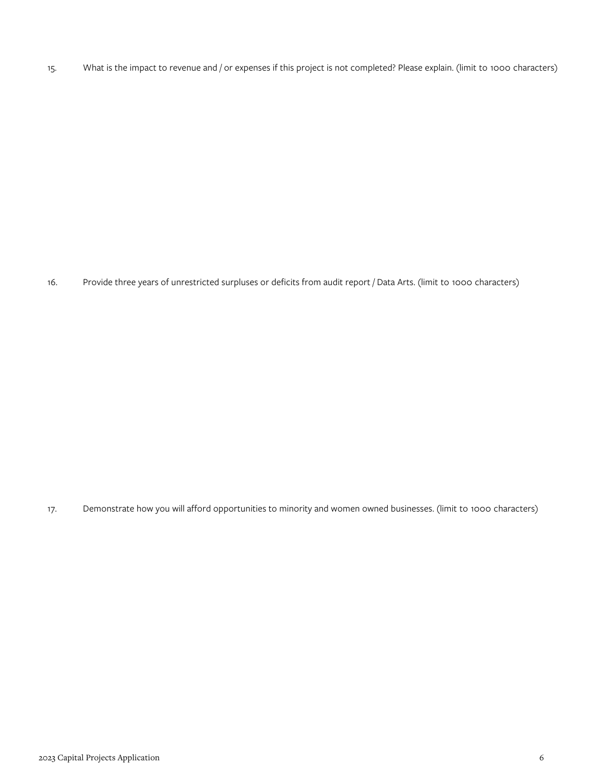15. What is the impact to revenue and / or expenses if this project is not completed? Please explain. (limit to 1000 characters)

16. Provide three years of unrestricted surpluses or deficits from audit report / Data Arts. (limit to 1000 characters)

17. Demonstrate how you will afford opportunities to minority and women owned businesses. (limit to 1000 characters)